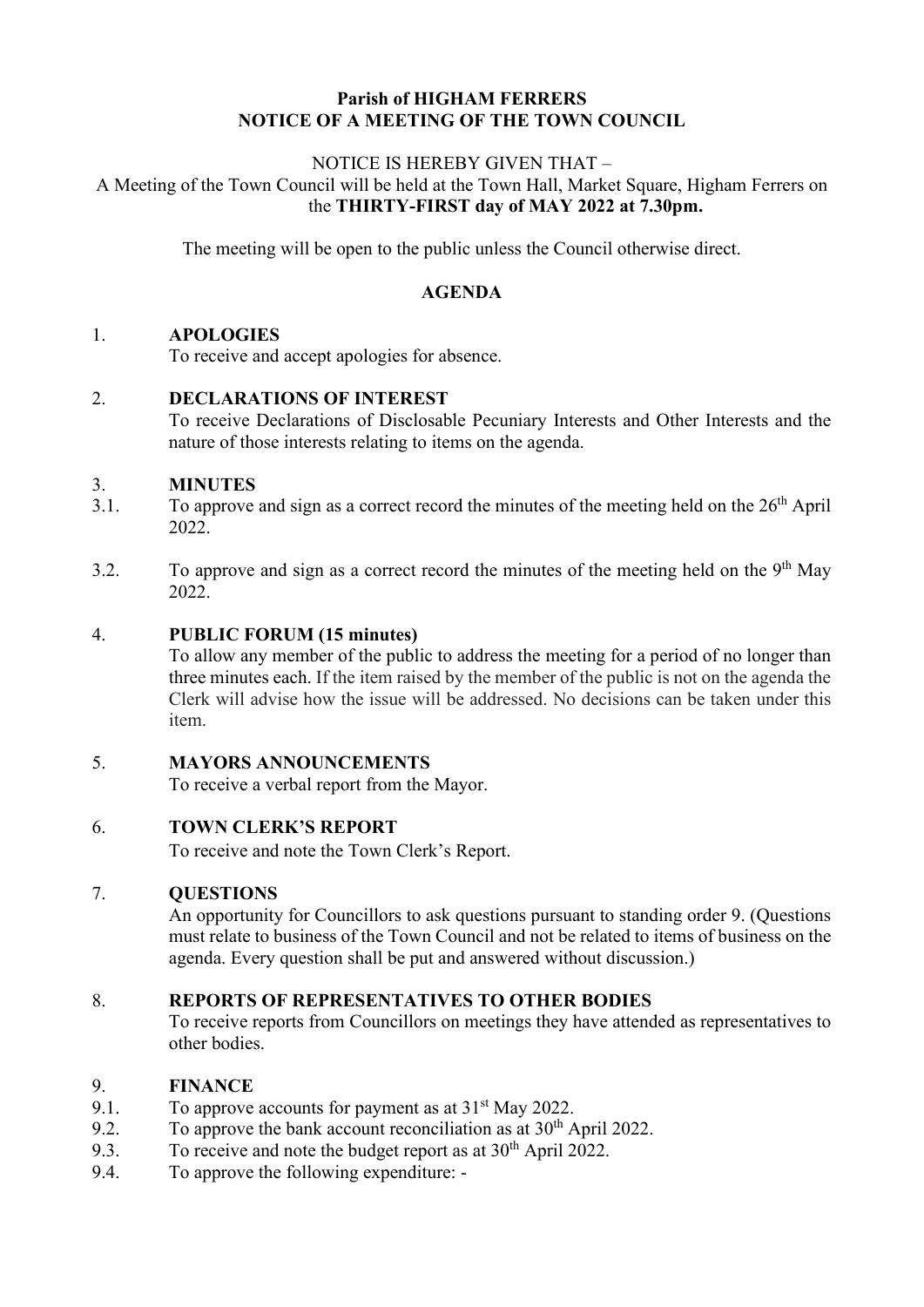## **Parish of HIGHAM FERRERS NOTICE OF A MEETING OF THE TOWN COUNCIL**

#### NOTICE IS HEREBY GIVEN THAT – A Meeting of the Town Council will be held at the Town Hall, Market Square, Higham Ferrers on the **THIRTY-FIRST day of MAY 2022 at 7.30pm.**

The meeting will be open to the public unless the Council otherwise direct.

### **AGENDA**

#### 1. **APOLOGIES**

To receive and accept apologies for absence.

#### 2. **DECLARATIONS OF INTEREST**

To receive Declarations of Disclosable Pecuniary Interests and Other Interests and the nature of those interests relating to items on the agenda.

# 3.1. **MINUTES**<br>3.1. To approve

- To approve and sign as a correct record the minutes of the meeting held on the  $26<sup>th</sup>$  April 2022.
- 3.2. To approve and sign as a correct record the minutes of the meeting held on the  $9<sup>th</sup>$  May 2022.

#### 4. **PUBLIC FORUM (15 minutes)**

To allow any member of the public to address the meeting for a period of no longer than three minutes each. If the item raised by the member of the public is not on the agenda the Clerk will advise how the issue will be addressed. No decisions can be taken under this item.

#### 5. **MAYORS ANNOUNCEMENTS**

To receive a verbal report from the Mayor.

## 6. **TOWN CLERK'S REPORT**

To receive and note the Town Clerk's Report.

#### 7. **QUESTIONS**

An opportunity for Councillors to ask questions pursuant to standing order 9. (Questions must relate to business of the Town Council and not be related to items of business on the agenda. Every question shall be put and answered without discussion.)

#### 8. **REPORTS OF REPRESENTATIVES TO OTHER BODIES**

To receive reports from Councillors on meetings they have attended as representatives to other bodies.

#### 9. **FINANCE**

- 9.1. To approve accounts for payment as at  $31<sup>st</sup>$  May 2022.
- 9.2. To approve the bank account reconciliation as at  $30<sup>th</sup>$  April 2022.<br>9.3. To receive and note the budget report as at  $30<sup>th</sup>$  April 2022.
- To receive and note the budget report as at  $30<sup>th</sup>$  April 2022.
- 9.4. To approve the following expenditure: -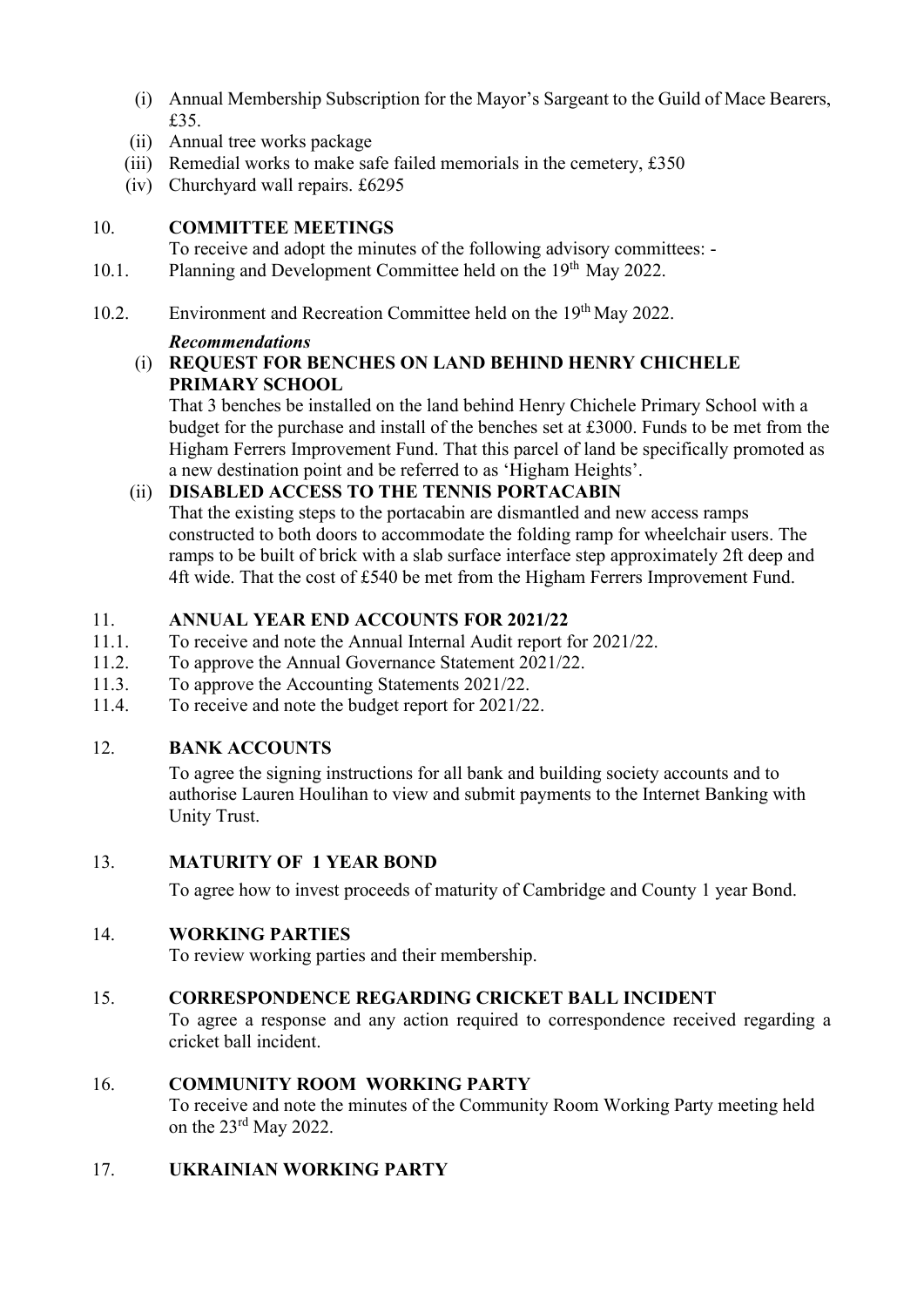- (i) Annual Membership Subscription for the Mayor's Sargeant to the Guild of Mace Bearers, £35.
- (ii) Annual tree works package
- (iii) Remedial works to make safe failed memorials in the cemetery,  $£350$
- (iv) Churchyard wall repairs. £6295

## 10. **COMMITTEE MEETINGS**

To receive and adopt the minutes of the following advisory committees: -

- 10.1. Planning and Development Committee held on the 19<sup>th</sup> May 2022.
- 10.2. Environment and Recreation Committee held on the 19<sup>th</sup> May 2022.

# *Recommendations*

## (i) **REQUEST FOR BENCHES ON LAND BEHIND HENRY CHICHELE PRIMARY SCHOOL**

That 3 benches be installed on the land behind Henry Chichele Primary School with a budget for the purchase and install of the benches set at £3000. Funds to be met from the Higham Ferrers Improvement Fund. That this parcel of land be specifically promoted as a new destination point and be referred to as 'Higham Heights'.

# (ii) **DISABLED ACCESS TO THE TENNIS PORTACABIN**

That the existing steps to the portacabin are dismantled and new access ramps constructed to both doors to accommodate the folding ramp for wheelchair users. The ramps to be built of brick with a slab surface interface step approximately 2ft deep and 4ft wide. That the cost of £540 be met from the Higham Ferrers Improvement Fund.

# 11. **ANNUAL YEAR END ACCOUNTS FOR 2021/22**<br>11.1. To receive and note the Annual Internal Audit report f

- To receive and note the Annual Internal Audit report for 2021/22.
- 11.2. To approve the Annual Governance Statement 2021/22.
- 11.3. To approve the Accounting Statements 2021/22.<br>11.4. To receive and note the budget report for 2021/2
- To receive and note the budget report for 2021/22.

# 12. **BANK ACCOUNTS**

To agree the signing instructions for all bank and building society accounts and to authorise Lauren Houlihan to view and submit payments to the Internet Banking with Unity Trust.

## 13. **MATURITY OF 1 YEAR BOND**

To agree how to invest proceeds of maturity of Cambridge and County 1 year Bond.

# 14. **WORKING PARTIES**

To review working parties and their membership.

## 15. **CORRESPONDENCE REGARDING CRICKET BALL INCIDENT**

To agree a response and any action required to correspondence received regarding a cricket ball incident.

# 16. **COMMUNITY ROOM WORKING PARTY**

To receive and note the minutes of the Community Room Working Party meeting held on the 23rd May 2022.

# 17. **UKRAINIAN WORKING PARTY**